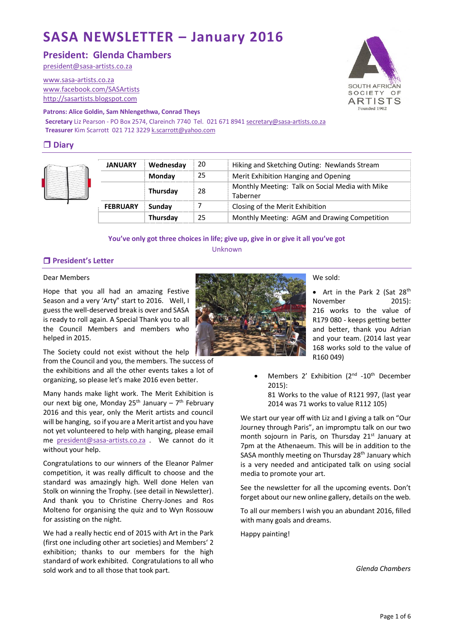# **SASA NEWSLETTER – January 2016**

# **President: Glenda Chambers**

[president@sasa-artists.co.za](mailto:president@sasa-artists.co.za)

[www.sasa-artists.co.za](http://www.sasa-artists.co.za/) [www.facebook.com/SASArtists](http://www.facebook.com/SASArtists) [http://sasartists.blogspot.com](http://sasartists.blogspot.com/)

#### **Patrons: Alice Goldin, Sam Nhlengethwa, Conrad Theys**

**Secretary** Liz Pearson - PO Box 2574, Clareinch 7740 Tel. 021 671 894[1 secretary@sasa-artists.co.za](mailto:secretary@sasa-artists.co.za) **Treasurer** Kim Scarrott 021 712 322[9 k.scarrott@yahoo.com](mailto:k.scarrott@yahoo.com)

# **Diary**

|  | <b>JANUARY</b>  | Wednesday | 20 | Hiking and Sketching Outing: Newlands Stream                |
|--|-----------------|-----------|----|-------------------------------------------------------------|
|  |                 | Monday    | 25 | Merit Exhibition Hanging and Opening                        |
|  |                 | Thursday  | 28 | Monthly Meeting: Talk on Social Media with Mike<br>Taberner |
|  | <b>FEBRUARY</b> | Sunday    |    | Closing of the Merit Exhibition                             |
|  |                 | Thursday  | 25 | Monthly Meeting: AGM and Drawing Competition                |

## **You've only got three choices in life; give up, give in or give it all you've got** Unknown

## **President's Letter**

#### Dear Members

Hope that you all had an amazing Festive Season and a very 'Arty" start to 2016. Well, I guess the well-deserved break is over and SASA is ready to roll again. A Special Thank you to all the Council Members and members who helped in 2015.

The Society could not exist without the help

from the Council and you, the members. The success of the exhibitions and all the other events takes a lot of organizing, so please let's make 2016 even better.

Many hands make light work. The Merit Exhibition is our next big one, Monday 25<sup>th</sup> January – 7<sup>th</sup> February 2016 and this year, only the Merit artists and council will be hanging, so if you are a Merit artist and you have not yet volunteered to help with hanging, please email me [president@sasa-artists.co.za](mailto:president@sasa-artists.co.za) . We cannot do it without your help.

Congratulations to our winners of the Eleanor Palmer competition, it was really difficult to choose and the standard was amazingly high. Well done Helen van Stolk on winning the Trophy. (see detail in Newsletter). And thank you to Christine Cherry-Jones and Ros Molteno for organising the quiz and to Wyn Rossouw for assisting on the night.

We had a really hectic end of 2015 with Art in the Park (first one including other art societies) and Members' 2 exhibition; thanks to our members for the high standard of work exhibited. Congratulations to all who sold work and to all those that took part.

We sold:

• Art in the Park 2 (Sat 28<sup>th</sup> November 2015): 216 works to the value of R179 080 - keeps getting better and better, thank you Adrian and your team. (2014 last year 168 works sold to the value of R160 049)

• Members 2' Exhibition (2<sup>nd</sup> -10<sup>th</sup> December 2015):

81 Works to the value of R121 997, (last year 2014 was 71 works to value R112 105)

We start our year off with Liz and I giving a talk on "Our Journey through Paris", an impromptu talk on our two month sojourn in Paris, on Thursday 21<sup>st</sup> January at 7pm at the Athenaeum. This will be in addition to the SASA monthly meeting on Thursday 28<sup>th</sup> January which is a very needed and anticipated talk on using social media to promote your art.

See the newsletter for all the upcoming events. Don't forget about our new online gallery, details on the web.

To all our members I wish you an abundant 2016, filled with many goals and dreams.

Happy painting!

*Glenda Chambers*

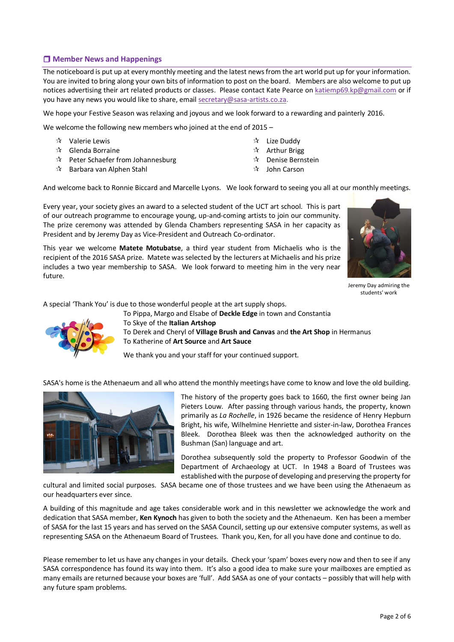# **Member News and Happenings**

The noticeboard is put up at every monthly meeting and the latest news from the art world put up for your information. You are invited to bring along your own bits of information to post on the board. Members are also welcome to put up notices advertising their art related products or classes. Please contact Kate Pearce on [katiemp69.kp@gmail.com](mailto:katiemp69.kp@gmail.com) or if you have any news you would like to share, email [secretary@sasa-artists.co.za.](mailto:secretary@sasa-artists.co.za)

We hope your Festive Season was relaxing and joyous and we look forward to a rewarding and painterly 2016.

We welcome the following new members who joined at the end of 2015 –

- Valerie Lewis
- $\mathbf{\hat{x}}$  Glenda Borraine
- $\mathbf{\hat{x}}$  Peter Schaefer from Johannesburg
- $\mathbf{\hat{x}}$  Barbara van Alphen Stahl
- $\sqrt[4]{ }$  Lize Duddy
- $\mathbf{\hat{x}}$  Arthur Brigg
- Denise Bernstein
- $\lambda$  John Carson

And welcome back to Ronnie Biccard and Marcelle Lyons. We look forward to seeing you all at our monthly meetings.

Every year, your society gives an award to a selected student of the UCT art school. This is part of our outreach programme to encourage young, up-and-coming artists to join our community. The prize ceremony was attended by Glenda Chambers representing SASA in her capacity as President and by Jeremy Day as Vice-President and Outreach Co-ordinator.

This year we welcome **Matete Motubatse**, a third year student from Michaelis who is the recipient of the 2016 SASA prize. Matete was selected by the lecturers at Michaelis and his prize includes a two year membership to SASA. We look forward to meeting him in the very near future.



Jeremy Day admiring the students' work

A special 'Thank You' is due to those wonderful people at the art supply shops.



To Skye of the **Italian Artshop** To Derek and Cheryl of **Village Brush and Canvas** and **the Art Shop** in Hermanus To Katherine of **Art Source** and **Art Sauce**

We thank you and your staff for your continued support.

SASA's home is the Athenaeum and all who attend the monthly meetings have come to know and love the old building.

To Pippa, Margo and Elsabe of **Deckle Edge** in town and Constantia



The history of the property goes back to 1660, the first owner being Jan Pieters Louw. After passing through various hands, the property, known primarily as *La Rochelle*, in 1926 became the residence of Henry Hepburn Bright, his wife, Wilhelmine Henriette and sister-in-law, Dorothea Frances Bleek. Dorothea Bleek was then the acknowledged authority on the Bushman (San) language and art.

Dorothea subsequently sold the property to Professor Goodwin of the Department of Archaeology at UCT. In 1948 a Board of Trustees was established with the purpose of developing and preserving the property for

cultural and limited social purposes. SASA became one of those trustees and we have been using the Athenaeum as our headquarters ever since.

A building of this magnitude and age takes considerable work and in this newsletter we acknowledge the work and dedication that SASA member, **Ken Kynoch** has given to both the society and the Athenaeum. Ken has been a member of SASA for the last 15 years and has served on the SASA Council, setting up our extensive computer systems, as well as representing SASA on the Athenaeum Board of Trustees. Thank you, Ken, for all you have done and continue to do.

Please remember to let us have any changes in your details. Check your 'spam' boxes every now and then to see if any SASA correspondence has found its way into them. It's also a good idea to make sure your mailboxes are emptied as many emails are returned because your boxes are 'full'. Add SASA as one of your contacts – possibly that will help with any future spam problems.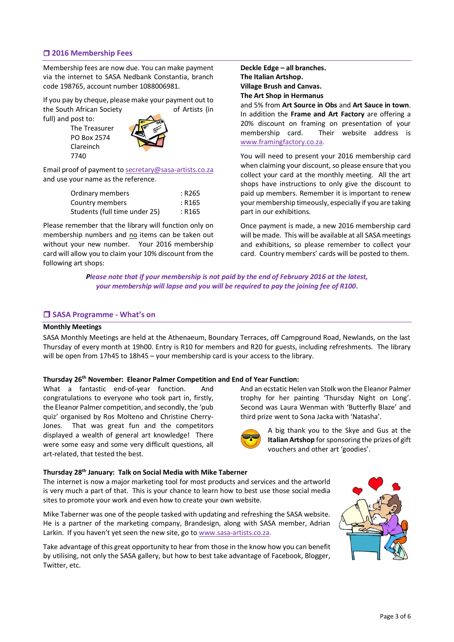## **2016 Membership Fees**

Membership fees are now due. You can make payment via the internet to SASA Nedbank Constantia, branch code 198765, account number 1088006981.

If you pay by cheque, please make your payment out to the South African Society of Artists (in full) and post to:

The Treasurer PO Box 2574 Clareinch 7740



Email proof of payment t[o secretary@sasa-artists.co.za](mailto:secretary@sasa-artists.co.za) and use your name as the reference.

| Ordinary members              | : R265 |
|-------------------------------|--------|
| Country members               | : R165 |
| Students (full time under 25) | : R165 |

Please remember that the library will function only on membership numbers and no items can be taken out without your new number. Your 2016 membership card will allow you to claim your 10% discount from the following art shops:

**Deckle Edge – all branches. The Italian Artshop. Village Brush and Canvas. The Art Shop in Hermanus**

and 5% from **Art Source in Obs** and **Art Sauce in town**. In addition the **Frame and Art Factory** are offering a 20% discount on framing on presentation of your membership card. Their website address is [www.framingfactory.co.za.](http://www.framingfactory.co.za/)

You will need to present your 2016 membership card when claiming your discount, so please ensure that you collect your card at the monthly meeting. All the art shops have instructions to only give the discount to paid up members. Remember it is important to renew your membership timeously, especially if you are taking part in our exhibitions.

Once payment is made, a new 2016 membership card will be made. This will be available at all SASA meetings and exhibitions, so please remember to collect your card. Country members' cards will be posted to them.

And an ecstatic Helen van Stolk won the Eleanor Palmer trophy for her painting 'Thursday Night on Long'. Second was Laura Wenman with 'Butterfly Blaze' and

> A big thank you to the Skye and Gus at the **Italian Artshop** for sponsoring the prizes of gift

third prize went to Sona Jacka with 'Natasha'.

vouchers and other art 'goodies'.

*Please note that if your membership is not paid by the end of February 2016 at the latest, your membership will lapse and you will be required to pay the joining fee of R100***.**

## **SASA Programme - What's on**

### **Monthly Meetings**

SASA Monthly Meetings are held at the Athenaeum, Boundary Terraces, off Campground Road, Newlands, on the last Thursday of every month at 19h00. Entry is R10 for members and R20 for guests, including refreshments. The library will be open from 17h45 to 18h45 – your membership card is your access to the library.

#### **Thursday 26 th November: Eleanor Palmer Competition and End of Year Function:**

What a fantastic end-of-year function. And congratulations to everyone who took part in, firstly, the Eleanor Palmer competition, and secondly, the 'pub quiz' organised by Ros Molteno and Christine Cherry-Jones. That was great fun and the competitors displayed a wealth of general art knowledge! There were some easy and some very difficult questions, all art-related, that tested the best.

#### **Thursday 28th January: Talk on Social Media with Mike Taberner**

The internet is now a major marketing tool for most products and services and the artworld is very much a part of that. This is your chance to learn how to best use those social media sites to promote your work and even how to create your own website.

Mike Taberner was one of the people tasked with updating and refreshing the SASA website. He is a partner of the marketing company, Brandesign, along with SASA member, Adrian Larkin. If you haven't yet seen the new site, go t[o www.sasa-artists.co.za.](http://www.sasa-artists.co.za/)

Take advantage of this great opportunity to hear from those in the know how you can benefit by utilising, not only the SASA gallery, but how to best take advantage of Facebook, Blogger, Twitter, etc.

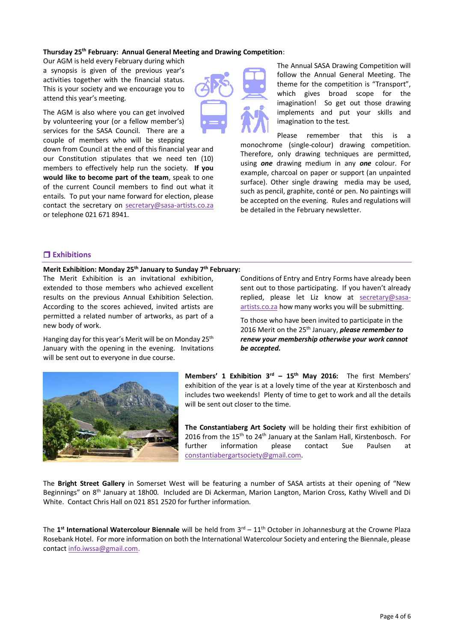## **Thursday 25 th February: Annual General Meeting and Drawing Competition**:

Our AGM is held every February during which a synopsis is given of the previous year's activities together with the financial status. This is your society and we encourage you to attend this year's meeting.

The AGM is also where you can get involved by volunteering your (or a fellow member's) services for the SASA Council. There are a couple of members who will be stepping

down from Council at the end of this financial year and our Constitution stipulates that we need ten (10) members to effectively help run the society. **If you would like to become part of the team**, speak to one of the current Council members to find out what it entails. To put your name forward for election, please contact the secretary on [secretary@sasa-artists.co.za](mailto:secretary@sasa-artists.co.za) or telephone 021 671 8941.



The Annual SASA Drawing Competition will follow the Annual General Meeting. The theme for the competition is "Transport", which gives broad scope for the imagination! So get out those drawing implements and put your skills and imagination to the test.

Please remember that this is a monochrome (single-colour) drawing competition. Therefore, only drawing techniques are permitted, using *one* drawing medium in any *one* colour. For example, charcoal on paper or support (an unpainted surface). Other single drawing media may be used, such as pencil, graphite, conté or pen. No paintings will be accepted on the evening. Rules and regulations will be detailed in the February newsletter.

## **Exhibitions**

## **Merit Exhibition: Monday 25th January to Sunday 7th February:**

The Merit Exhibition is an invitational exhibition, extended to those members who achieved excellent results on the previous Annual Exhibition Selection. According to the scores achieved, invited artists are permitted a related number of artworks, as part of a new body of work.

Hanging day for this year's Merit will be on Monday 25<sup>th</sup> January with the opening in the evening. Invitations will be sent out to everyone in due course.

Conditions of Entry and Entry Forms have already been sent out to those participating. If you haven't already replied, please let Liz know at [secretary@sasa](mailto:secretary@sasa-artists.co.za)[artists.co.za](mailto:secretary@sasa-artists.co.za) how many works you will be submitting.

To those who have been invited to participate in the 2016 Merit on the 25th January, *please remember to renew your membership otherwise your work cannot be accepted.*



**Members' 1 Exhibition 3rd – 15th May 2016:** The first Members' exhibition of the year is at a lovely time of the year at Kirstenbosch and includes two weekends! Plenty of time to get to work and all the details will be sent out closer to the time.

**The Constantiaberg Art Society** will be holding their first exhibition of 2016 from the 15<sup>th</sup> to 24<sup>th</sup> January at the Sanlam Hall, Kirstenbosch. For further information please contact Sue Paulsen at [constantiabergartsociety@gmail.com.](mailto:constantiabergartsociety@gmail.com)

The **Bright Street Gallery** in Somerset West will be featuring a number of SASA artists at their opening of "New Beginnings" on 8th January at 18h00. Included are Di Ackerman, Marion Langton, Marion Cross, Kathy Wivell and Di White. Contact Chris Hall on 021 851 2520 for further information.

The **1 st International Watercolour Biennale** will be held from 3rd – 11th October in Johannesburg at the Crowne Plaza Rosebank Hotel. For more information on both the International Watercolour Society and entering the Biennale, please contac[t info.iwssa@gmail.com.](mailto:info.iwssa@gmail.com)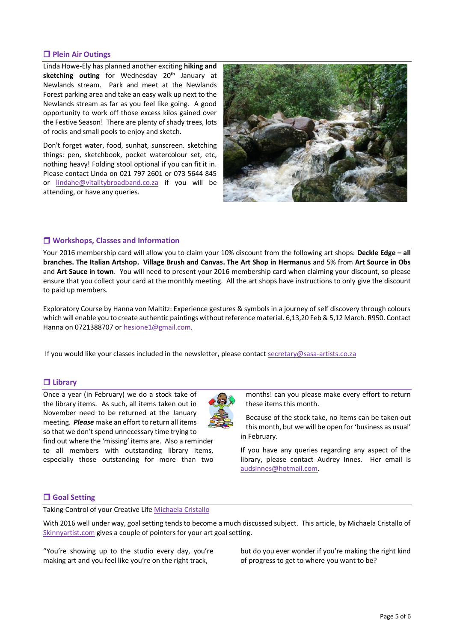## **Plein Air Outings**

Linda Howe-Ely has planned another exciting **hiking and**  sketching outing for Wednesday 20<sup>th</sup> January at Newlands stream. Park and meet at the Newlands Forest parking area and take an easy walk up next to the Newlands stream as far as you feel like going. A good opportunity to work off those excess kilos gained over the Festive Season! There are plenty of shady trees, lots of rocks and small pools to enjoy and sketch.

Don't forget water, food, sunhat, sunscreen. sketching things: pen, sketchbook, pocket watercolour set, etc, nothing heavy! Folding stool optional if you can fit it in. Please contact Linda on 021 797 2601 or 073 5644 845 or [lindahe@vitalitybroadband.co.za](mailto:lindahe@vitalitybroadband.co.za) if you will be attending, or have any queries.



## **Workshops, Classes and Information**

Your 2016 membership card will allow you to claim your 10% discount from the following art shops: **Deckle Edge – all branches. The Italian Artshop. Village Brush and Canvas. The Art Shop in Hermanus** and 5% from **Art Source in Obs** and **Art Sauce in town**. You will need to present your 2016 membership card when claiming your discount, so please ensure that you collect your card at the monthly meeting. All the art shops have instructions to only give the discount to paid up members.

Exploratory Course by Hanna von Maltitz: Experience gestures & symbols in a journey of self discovery through colours which will enable you to create authentic paintings without reference material. 6,13,20 Feb & 5,12 March. R950. Contact Hanna on 0721388707 or [hesione1@gmail.com.](mailto:hesione1@gmail.com)

If you would like your classes included in the newsletter, please contac[t secretary@sasa-artists.co.za](mailto:secretary@sasa-artists.co.za)

## **Library**

Once a year (in February) we do a stock take of the library items. As such, all items taken out in November need to be returned at the January meeting. *Please* make an effort to return all items so that we don't spend unnecessary time trying to find out where the 'missing' items are. Also a reminder to all members with outstanding library items,

especially those outstanding for more than two

months! can you please make every effort to return these items this month.

Because of the stock take, no items can be taken out this month, but we will be open for 'business as usual' in February.

If you have any queries regarding any aspect of the library, please contact Audrey Innes. Her email is [audsinnes@hotmail.com.](mailto:audsinnes@hotmail.com)

## **Goal Setting**

Taking Control of your Creative Life [Michaela](http://forthecreators.com/welcome-skinny-artist-reader/) Cristallo

With 2016 well under way, goal setting tends to become a much discussed subject. This article, by Michaela Cristallo of [Skinnyartist.com](mailto:http://skinnyartist.com/news-on-art/) gives a couple of pointers for your art goal setting.

"You're showing up to the studio every day, you're making art and you feel like you're on the right track,

but do you ever wonder if you're making the right kind of progress to get to where you want to be?